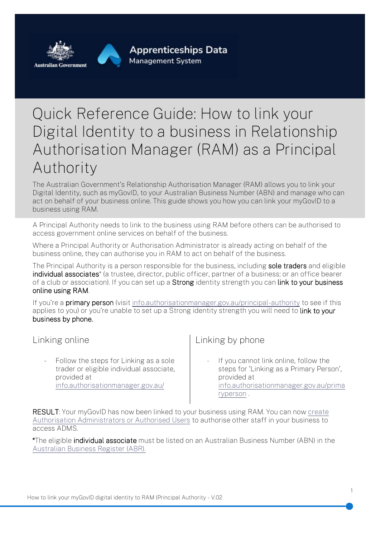

## Quick Reference Guide: How to link your Digital Identity to a business in Relationship Authorisation Manager (RAM) as a Principal Authority

The Australian Government's Relationship Authorisation Manager (RAM) allows you to link your Digital Identity, such as myGovID, to your Australian Business Number (ABN) and manage who can act on behalf of your business online. This guide shows you how you can link your myGovID to a business using RAM.

A Principal Authority needs to link to the business using RAM before others can be authorised to access government online services on behalf of the business.

Where a Principal Authority or Authorisation Administrator is already acting on behalf of the business online, they can authorise you in RAM to act on behalf of the business.

The Principal Authority is a person responsible for the business, including sole traders and eligible individual associates<sup>\*</sup> (a trustee, director, public officer, partner of a business; or an office bearer of a club or association). If you can set up a Strong identity strength you can link to your business online using RAM.

If you're a **primary person** (visit [info.authorisationmanager.gov.au/principal-authority](https://info.authorisationmanager.gov.au/principal-authority) to see if this applies to you) or you're unable to set up a Strong identity strength you will need to link to your business by phone.

## Linking online

Follow the steps for Linking as a sole trader or eligible individual associate, provided at [info.authorisationmanager.gov.au/](https://info.authorisationmanager.gov.au/principal-authority#Linking_as_a_1)

## Linking by phone

If you cannot link online, follow the steps for 'Linking as a Primary Person', provided at [info.authorisationmanager.gov.au/prima](http://info.authorisationmanager.gov.au/primaryperson) [ryperson](http://info.authorisationmanager.gov.au/primaryperson) .

RESULT: Your myGovID has now been linked to your business using RAM. You can now create [Authorisation Administrators or Authorised Users](https://info.authorisationmanager.gov.au/set-up-authorisations) to authorise other staff in your business to access ADMS.

\*The eligible individual associate must be listed on an Australian Business Number (ABN) in the [Australian Business Register](https://www.abr.gov.au/) (ABR).

1